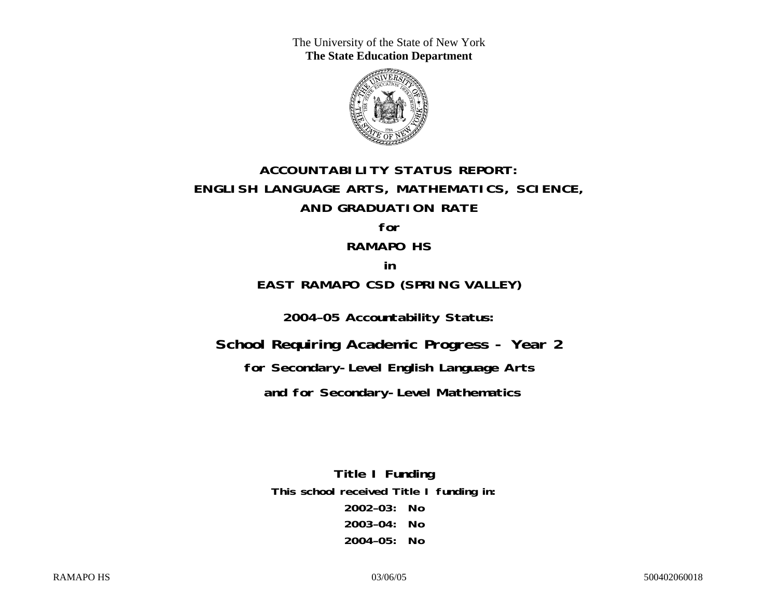The University of the State of New York **The State Education Department** 



# **ACCOUNTABILITY STATUS REPORT: ENGLISH LANGUAGE ARTS, MATHEMATICS, SCIENCE, AND GRADUATION RATE**

## **for**

### **RAMAPO HS**

### **in**

# **EAST RAMAPO CSD (SPRING VALLEY)**

**2004–05 Accountability Status:** 

**School Requiring Academic Progress - Year 2** 

**for Secondary-Level English Language Arts** 

 **and for Secondary-Level Mathematics**

**Title I Funding This school received Title I funding in: 2002–03: No 2003–04: No 2004–05: No**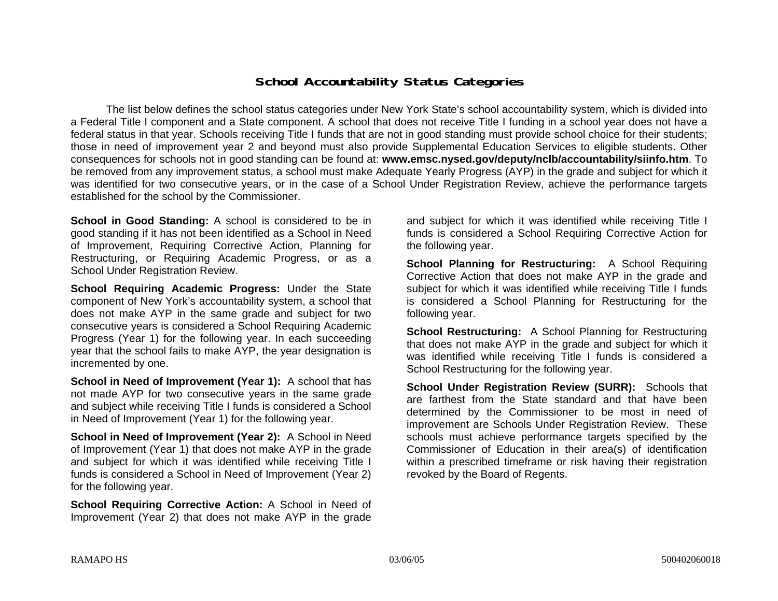### **School Accountability Status Categories**

The list below defines the school status categories under New York State's school accountability system, which is divided into a Federal Title I component and a State component. A school that does not receive Title I funding in a school year does not have a federal status in that year. Schools receiving Title I funds that are not in good standing must provide school choice for their students; those in need of improvement year 2 and beyond must also provide Supplemental Education Services to eligible students. Other consequences for schools not in good standing can be found at: **www.emsc.nysed.gov/deputy/nclb/accountability/siinfo.htm**. To be removed from any improvement status, a school must make Adequate Yearly Progress (AYP) in the grade and subject for which it was identified for two consecutive years, or in the case of a School Under Registration Review, achieve the performance targets established for the school by the Commissioner.

**School in Good Standing:** A school is considered to be in good standing if it has not been identified as a School in Need of Improvement, Requiring Corrective Action, Planning for Restructuring, or Requiring Academic Progress, or as a School Under Registration Review.

**School Requiring Academic Progress:** Under the State component of New York's accountability system, a school that does not make AYP in the same grade and subject for two consecutive years is considered a School Requiring Academic Progress (Year 1) for the following year. In each succeeding year that the school fails to make AYP, the year designation is incremented by one.

**School in Need of Improvement (Year 1):** A school that has not made AYP for two consecutive years in the same grade and subject while receiving Title I funds is considered a School in Need of Improvement (Year 1) for the following year.

**School in Need of Improvement (Year 2):** A School in Need of Improvement (Year 1) that does not make AYP in the grade and subject for which it was identified while receiving Title I funds is considered a School in Need of Improvement (Year 2) for the following year.

**School Requiring Corrective Action:** A School in Need of Improvement (Year 2) that does not make AYP in the grade

and subject for which it was identified while receiving Title I funds is considered a School Requiring Corrective Action for the following year.

**School Planning for Restructuring:** A School Requiring Corrective Action that does not make AYP in the grade and subject for which it was identified while receiving Title I funds is considered a School Planning for Restructuring for the following year.

**School Restructuring:** A School Planning for Restructuring that does not make AYP in the grade and subject for which it was identified while receiving Title I funds is considered a School Restructuring for the following year.

**School Under Registration Review (SURR):** Schools that are farthest from the State standard and that have been determined by the Commissioner to be most in need of improvement are Schools Under Registration Review. These schools must achieve performance targets specified by the Commissioner of Education in their area(s) of identification within a prescribed timeframe or risk having their registration revoked by the Board of Regents.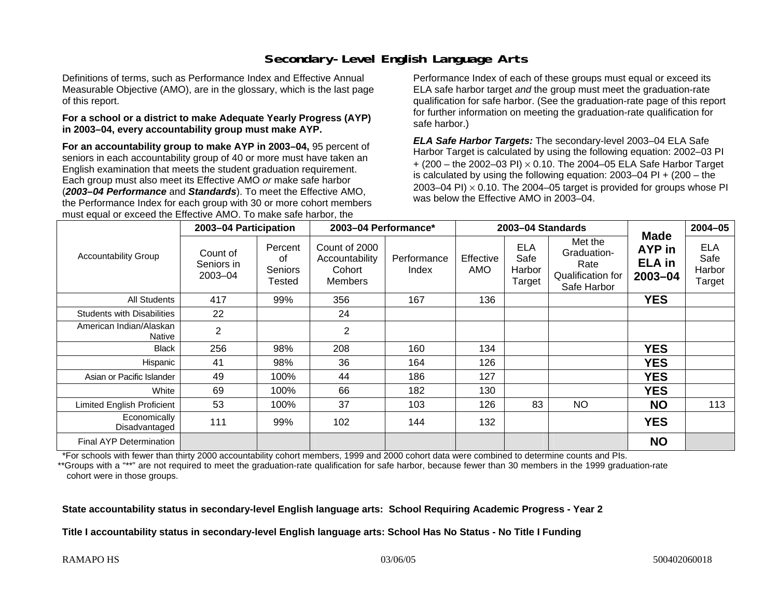# **Secondary-Level English Language Arts**

Definitions of terms, such as Performance Index and Effective Annual Measurable Objective (AMO), are in the glossary, which is the last page of this report.

#### **For a school or a district to make Adequate Yearly Progress (AYP) in 2003–04, every accountability group must make AYP.**

**For an accountability group to make AYP in 2003–04,** 95 percent of seniors in each accountability group of 40 or more must have taken an English examination that meets the student graduation requirement. Each group must also meet its Effective AMO *or* make safe harbor (*2003–04 Performance* and *Standards*). To meet the Effective AMO, the Performance Index for each group with 30 or more cohort members must equal or exceed the Effective AMO. To make safe harbor, the

Performance Index of each of these groups must equal or exceed its ELA safe harbor target *and* the group must meet the graduation-rate qualification for safe harbor. (See the graduation-rate page of this report for further information on meeting the graduation-rate qualification for safe harbor.)

*ELA Safe Harbor Targets:* The secondary-level 2003–04 ELA Safe Harbor Target is calculated by using the following equation: 2002–03 PI + (200 – the 2002–03 PI) <sup>×</sup> 0.10. The 2004–05 ELA Safe Harbor Target is calculated by using the following equation: 2003–04 PI + (200 – the 2003–04 PI)  $\times$  0.10. The 2004–05 target is provided for groups whose PI was below the Effective AMO in 2003–04.

| <b>Accountability Group</b>       | 2003-04 Participation                 |                                    | 2003-04 Performance*                                        |                      | 2003-04 Standards |                                        |                                                                    |                                                   | $2004 - 05$                            |
|-----------------------------------|---------------------------------------|------------------------------------|-------------------------------------------------------------|----------------------|-------------------|----------------------------------------|--------------------------------------------------------------------|---------------------------------------------------|----------------------------------------|
|                                   | Count of<br>Seniors in<br>$2003 - 04$ | Percent<br>οf<br>Seniors<br>Tested | Count of 2000<br>Accountability<br>Cohort<br><b>Members</b> | Performance<br>Index | Effective<br>AMO  | <b>ELA</b><br>Safe<br>Harbor<br>Target | Met the<br>Graduation-<br>Rate<br>Qualification for<br>Safe Harbor | <b>Made</b><br>AYP in<br><b>ELA</b> in<br>2003-04 | <b>ELA</b><br>Safe<br>Harbor<br>Target |
| All Students                      | 417                                   | 99%                                | 356                                                         | 167                  | 136               |                                        |                                                                    | <b>YES</b>                                        |                                        |
| <b>Students with Disabilities</b> | 22                                    |                                    | 24                                                          |                      |                   |                                        |                                                                    |                                                   |                                        |
| American Indian/Alaskan<br>Native | 2                                     |                                    | $\overline{2}$                                              |                      |                   |                                        |                                                                    |                                                   |                                        |
| <b>Black</b>                      | 256                                   | 98%                                | 208                                                         | 160                  | 134               |                                        |                                                                    | <b>YES</b>                                        |                                        |
| Hispanic                          | 41                                    | 98%                                | 36                                                          | 164                  | 126               |                                        |                                                                    | <b>YES</b>                                        |                                        |
| Asian or Pacific Islander         | 49                                    | 100%                               | 44                                                          | 186                  | 127               |                                        |                                                                    | <b>YES</b>                                        |                                        |
| White                             | 69                                    | 100%                               | 66                                                          | 182                  | 130               |                                        |                                                                    | <b>YES</b>                                        |                                        |
| Limited English Proficient        | 53                                    | 100%                               | 37                                                          | 103                  | 126               | 83                                     | <b>NO</b>                                                          | <b>NO</b>                                         | 113                                    |
| Economically<br>Disadvantaged     | 111                                   | 99%                                | 102                                                         | 144                  | 132               |                                        |                                                                    | <b>YES</b>                                        |                                        |
| Final AYP Determination           |                                       |                                    |                                                             |                      |                   |                                        |                                                                    | <b>NO</b>                                         |                                        |

\*For schools with fewer than thirty 2000 accountability cohort members, 1999 and 2000 cohort data were combined to determine counts and PIs.

\*\*Groups with a "\*\*" are not required to meet the graduation-rate qualification for safe harbor, because fewer than 30 members in the 1999 graduation-rate cohort were in those groups.

**State accountability status in secondary-level English language arts: School Requiring Academic Progress - Year 2** 

**Title I accountability status in secondary-level English language arts: School Has No Status - No Title I Funding**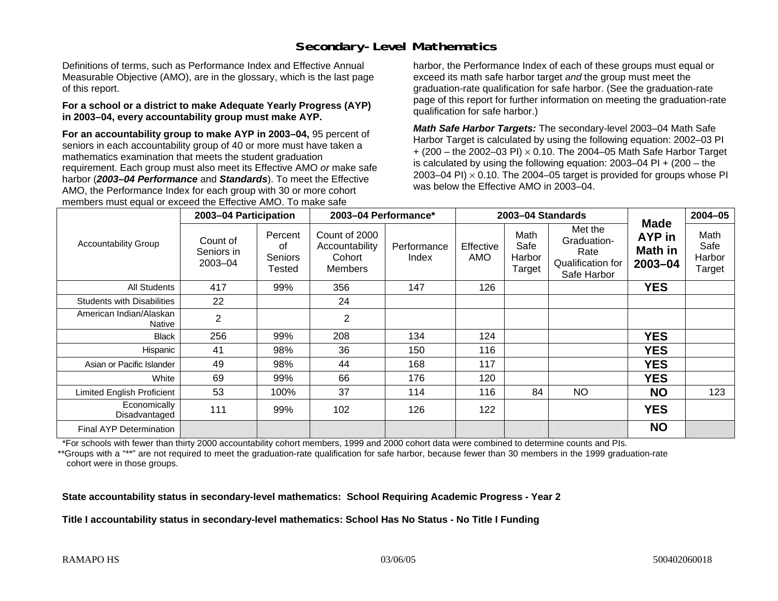# **Secondary-Level Mathematics**

Definitions of terms, such as Performance Index and Effective Annual Measurable Objective (AMO), are in the glossary, which is the last page of this report.

#### **For a school or a district to make Adequate Yearly Progress (AYP) in 2003–04, every accountability group must make AYP.**

**For an accountability group to make AYP in 2003–04,** 95 percent of seniors in each accountability group of 40 or more must have taken a mathematics examination that meets the student graduation requirement. Each group must also meet its Effective AMO *or* make safe harbor (*2003–04 Performance* and *Standards*). To meet the Effective AMO, the Performance Index for each group with 30 or more cohort members must equal or exceed the Effective AMO. To make safe

harbor, the Performance Index of each of these groups must equal or exceed its math safe harbor target *and* the group must meet the graduation-rate qualification for safe harbor. (See the graduation-rate page of this report for further information on meeting the graduation-rate qualification for safe harbor.)

*Math Safe Harbor Targets:* The secondary-level 2003–04 Math Safe Harbor Target is calculated by using the following equation: 2002–03 PI + (200 – the 2002–03 PI) <sup>×</sup> 0.10. The 2004–05 Math Safe Harbor Target is calculated by using the following equation: 2003–04 PI + (200 – the 2003–04 PI)  $\times$  0.10. The 2004–05 target is provided for groups whose PI was below the Effective AMO in 2003–04.

| <b>Accountability Group</b>       | 2003-04 Participation             |                                    | 2003-04 Performance*                                        |                      | 2003-04 Standards |                                  |                                                                           |                                             | $2004 - 05$                      |
|-----------------------------------|-----------------------------------|------------------------------------|-------------------------------------------------------------|----------------------|-------------------|----------------------------------|---------------------------------------------------------------------------|---------------------------------------------|----------------------------------|
|                                   | Count of<br>Seniors in<br>2003-04 | Percent<br>οf<br>Seniors<br>Tested | Count of 2000<br>Accountability<br>Cohort<br><b>Members</b> | Performance<br>Index | Effective<br>AMO  | Math<br>Safe<br>Harbor<br>Target | Met the<br>Graduation-<br>Rate<br><b>Qualification for</b><br>Safe Harbor | <b>Made</b><br>AYP in<br>Math in<br>2003-04 | Math<br>Safe<br>Harbor<br>Target |
| <b>All Students</b>               | 417                               | 99%                                | 356                                                         | 147                  | 126               |                                  |                                                                           | <b>YES</b>                                  |                                  |
| <b>Students with Disabilities</b> | 22                                |                                    | 24                                                          |                      |                   |                                  |                                                                           |                                             |                                  |
| American Indian/Alaskan<br>Native | $\overline{2}$                    |                                    | 2                                                           |                      |                   |                                  |                                                                           |                                             |                                  |
| <b>Black</b>                      | 256                               | 99%                                | 208                                                         | 134                  | 124               |                                  |                                                                           | <b>YES</b>                                  |                                  |
| Hispanic                          | 41                                | 98%                                | 36                                                          | 150                  | 116               |                                  |                                                                           | <b>YES</b>                                  |                                  |
| Asian or Pacific Islander         | 49                                | 98%                                | 44                                                          | 168                  | 117               |                                  |                                                                           | <b>YES</b>                                  |                                  |
| White                             | 69                                | 99%                                | 66                                                          | 176                  | 120               |                                  |                                                                           | <b>YES</b>                                  |                                  |
| Limited English Proficient        | 53                                | 100%                               | 37                                                          | 114                  | 116               | 84                               | <b>NO</b>                                                                 | <b>NO</b>                                   | 123                              |
| Economically<br>Disadvantaged     | 111                               | 99%                                | 102                                                         | 126                  | 122               |                                  |                                                                           | <b>YES</b>                                  |                                  |
| Final AYP Determination           |                                   |                                    |                                                             |                      |                   |                                  |                                                                           | <b>NO</b>                                   |                                  |

\*For schools with fewer than thirty 2000 accountability cohort members, 1999 and 2000 cohort data were combined to determine counts and PIs.

\*\*Groups with a "\*\*" are not required to meet the graduation-rate qualification for safe harbor, because fewer than 30 members in the 1999 graduation-rate cohort were in those groups.

**State accountability status in secondary-level mathematics: School Requiring Academic Progress - Year 2** 

**Title I accountability status in secondary-level mathematics: School Has No Status - No Title I Funding**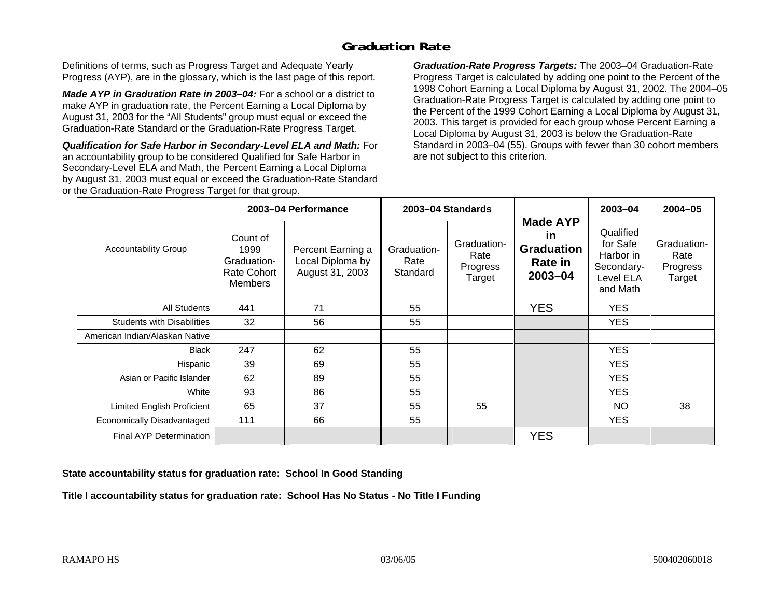# **Graduation Rate**

Definitions of terms, such as Progress Target and Adequate Yearly Progress (AYP), are in the glossary, which is the last page of this report.

*Made AYP in Graduation Rate in 2003–04:* For a school or a district to make AYP in graduation rate, the Percent Earning a Local Diploma by August 31, 2003 for the "All Students" group must equal or exceed the Graduation-Rate Standard or the Graduation-Rate Progress Target.

*Qualification for Safe Harbor in Secondary-Level ELA and Math:* For an accountability group to be considered Qualified for Safe Harbor in Secondary-Level ELA and Math, the Percent Earning a Local Diploma by August 31, 2003 must equal or exceed the Graduation-Rate Standard or the Graduation-Rate Progress Target for that group.

*Graduation-Rate Progress Targets:* The 2003–04 Graduation-Rate Progress Target is calculated by adding one point to the Percent of the 1998 Cohort Earning a Local Diploma by August 31, 2002. The 2004–05 Graduation-Rate Progress Target is calculated by adding one point to the Percent of the 1999 Cohort Earning a Local Diploma by August 31, 2003. This target is provided for each group whose Percent Earning a Local Diploma by August 31, 2003 is below the Graduation-Rate Standard in 2003–04 (55). Groups with fewer than 30 cohort members are not subject to this criterion.

|                                   |                                                                  | 2003-04 Performance                                      |                                 | 2003-04 Standards                         |                                                                         | 2003-04                                                                   | 2004-05                                   |
|-----------------------------------|------------------------------------------------------------------|----------------------------------------------------------|---------------------------------|-------------------------------------------|-------------------------------------------------------------------------|---------------------------------------------------------------------------|-------------------------------------------|
| Accountability Group              | Count of<br>1999<br>Graduation-<br>Rate Cohort<br><b>Members</b> | Percent Earning a<br>Local Diploma by<br>August 31, 2003 | Graduation-<br>Rate<br>Standard | Graduation-<br>Rate<br>Progress<br>Target | <b>Made AYP</b><br><u>in</u><br><b>Graduation</b><br>Rate in<br>2003-04 | Qualified<br>for Safe<br>Harbor in<br>Secondary-<br>Level ELA<br>and Math | Graduation-<br>Rate<br>Progress<br>Target |
| <b>All Students</b>               | 441                                                              | 71                                                       | 55                              |                                           | <b>YES</b>                                                              | <b>YES</b>                                                                |                                           |
| <b>Students with Disabilities</b> | 32                                                               | 56                                                       | 55                              |                                           |                                                                         | <b>YES</b>                                                                |                                           |
| American Indian/Alaskan Native    |                                                                  |                                                          |                                 |                                           |                                                                         |                                                                           |                                           |
| <b>Black</b>                      | 247                                                              | 62                                                       | 55                              |                                           |                                                                         | <b>YES</b>                                                                |                                           |
| Hispanic                          | 39                                                               | 69                                                       | 55                              |                                           |                                                                         | YES.                                                                      |                                           |
| Asian or Pacific Islander         | 62                                                               | 89                                                       | 55                              |                                           |                                                                         | YES.                                                                      |                                           |
| White                             | 93                                                               | 86                                                       | 55                              |                                           |                                                                         | <b>YES</b>                                                                |                                           |
| Limited English Proficient        | 65                                                               | 37                                                       | 55                              | 55                                        |                                                                         | <b>NO</b>                                                                 | 38                                        |
| Economically Disadvantaged        | 111                                                              | 66                                                       | 55                              |                                           |                                                                         | <b>YES</b>                                                                |                                           |
| <b>Final AYP Determination</b>    |                                                                  |                                                          |                                 |                                           | <b>YES</b>                                                              |                                                                           |                                           |

#### **State accountability status for graduation rate: School In Good Standing**

**Title I accountability status for graduation rate: School Has No Status - No Title I Funding**